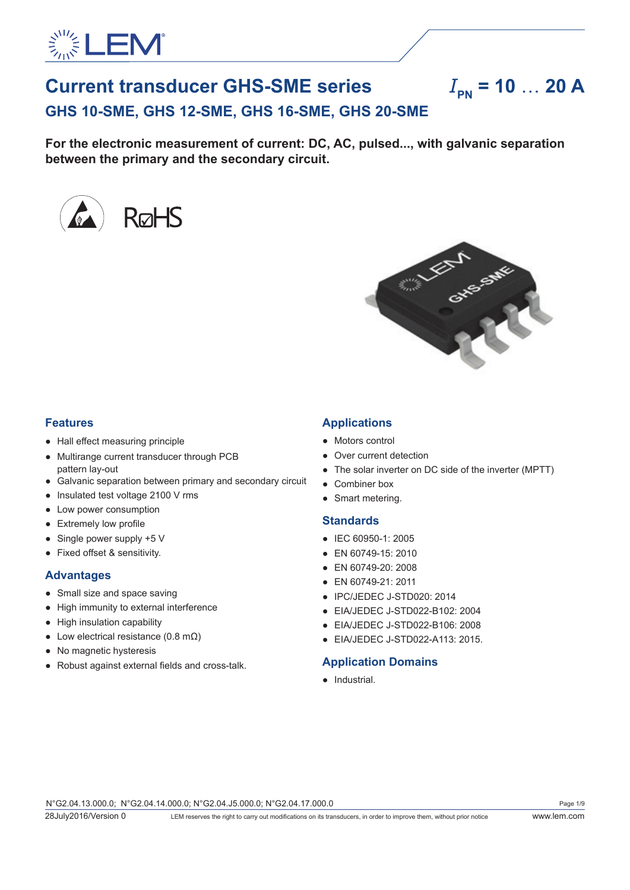

# **Current transducer GHS-SME series**  $I_{\text{BM}} = 10$  ... 20 A **GHS 10-SME, GHS 12-SME, GHS 16-SME, GHS 20-SME**

**For the electronic measurement of current: DC, AC, pulsed..., with galvanic separation** 

**between the primary and the secondary circuit.**





## **Features**

- Hall effect measuring principle
- Multirange current transducer through PCB pattern lay-out
- Galvanic separation between primary and secondary circuit
- Insulated test voltage 2100 V rms
- Low power consumption
- Extremely low profile
- $\bullet$  Single power supply +5 V
- Fixed offset & sensitivity.

### **Advantages**

- Small size and space saving
- High immunity to external interference
- High insulation capability
- Low electrical resistance (0.8 m $\Omega$ )
- No magnetic hysteresis
- Robust against external fields and cross-talk.

## **Applications**

- Motors control
- Over current detection
- The solar inverter on DC side of the inverter (MPTT)
- Combiner box
- Smart metering.

### **Standards**

- IEC 60950-1: 2005
- EN 60749-15: 2010
- EN 60749-20: 2008
- EN 60749-21: 2011
- IPC/JEDEC J-STD020: 2014
- EIA/JEDEC J-STD022-B102: 2004
- EIA/JEDEC J-STD022-B106: 2008
- EIA/JEDEC J-STD022-A113: 2015.

## **Application Domains**

● Industrial.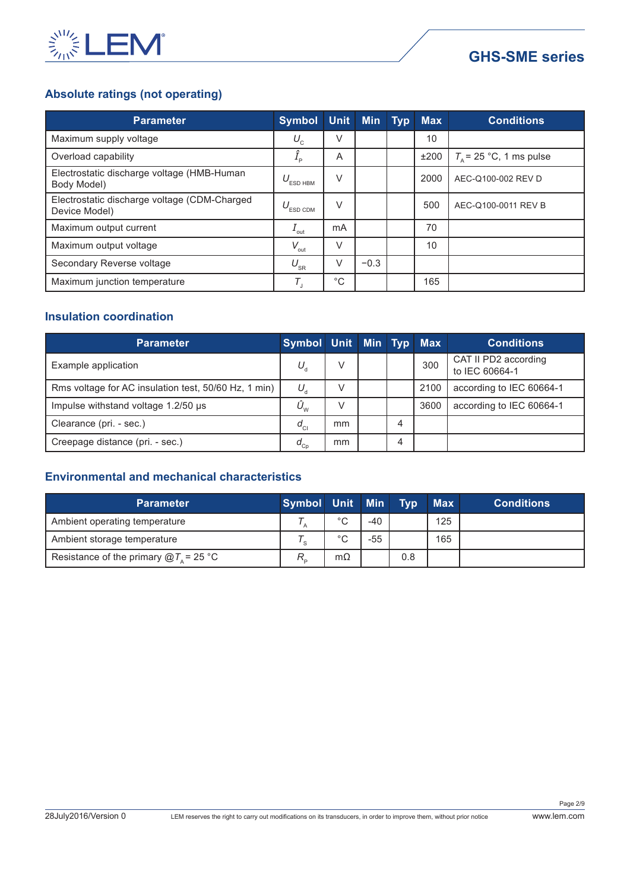

## **GHS-SME series**

## **Absolute ratings (not operating)**

| <b>Parameter</b>                                              | <b>Symbol</b>                  |             | Unit Min Typ | <b>Max</b> | <b>Conditions</b>         |
|---------------------------------------------------------------|--------------------------------|-------------|--------------|------------|---------------------------|
| Maximum supply voltage                                        | $U_{\rm c}$                    | V           |              | 10         |                           |
| Overload capability                                           | $I_{\rm p}$                    | A           |              | ±200       | $T_a$ = 25 °C, 1 ms pulse |
| Electrostatic discharge voltage (HMB-Human<br>Body Model)     | $U_{_{\tiny{\text{ESD HBM}}}}$ | V           |              | 2000       | AEC-Q100-002 REV D        |
| Electrostatic discharge voltage (CDM-Charged<br>Device Model) | ESD CDM                        | $\vee$      |              | 500        | AEC-Q100-0011 REV B       |
| Maximum output current                                        | $1$ <sub>out</sub>             | mA          |              | 70         |                           |
| Maximum output voltage                                        | $V_{\text{out}}$               | $\vee$      |              | 10         |                           |
| Secondary Reverse voltage                                     | $U_{\rm SR}$                   | V           | $-0.3$       |            |                           |
| Maximum junction temperature                                  | Τ,                             | $^{\circ}C$ |              | 165        |                           |

## **Insulation coordination**

| Parameter                                            | Symbol Unit Min Typ Max             |    |   |      | <b>Conditions</b>                      |
|------------------------------------------------------|-------------------------------------|----|---|------|----------------------------------------|
| Example application                                  | $U_{\rm d}$                         | V  |   | 300  | CAT II PD2 according<br>to IEC 60664-1 |
| Rms voltage for AC insulation test, 50/60 Hz, 1 min) | $U_{\rm d}$                         |    |   | 2100 | according to IEC 60664-1               |
| Impulse withstand voltage 1.2/50 µs                  | $\ddot{\mathsf{U}}_{_{\mathrm{W}}}$ |    |   | 3600 | according to IEC 60664-1               |
| Clearance (pri. - sec.)                              | $d_{\rm cl}$                        | mm | 4 |      |                                        |
| Creepage distance (pri. - sec.)                      | $d_{_{\rm Cp}}$                     | mm |   |      |                                        |

## **Environmental and mechanical characteristics**

| <b>Parameter</b>                              | Symbol Unit Min |             |       | Tvp | <b>Max</b> | <b>Conditions</b> |
|-----------------------------------------------|-----------------|-------------|-------|-----|------------|-------------------|
| Ambient operating temperature                 |                 | $^{\circ}C$ | -40   |     | 125        |                   |
| Ambient storage temperature                   |                 | $^{\circ}C$ | $-55$ |     | 165        |                   |
| Resistance of the primary $@T_{\sim} = 25$ °C | $R_{\rm p}$     | $m\Omega$   |       | 0.8 |            |                   |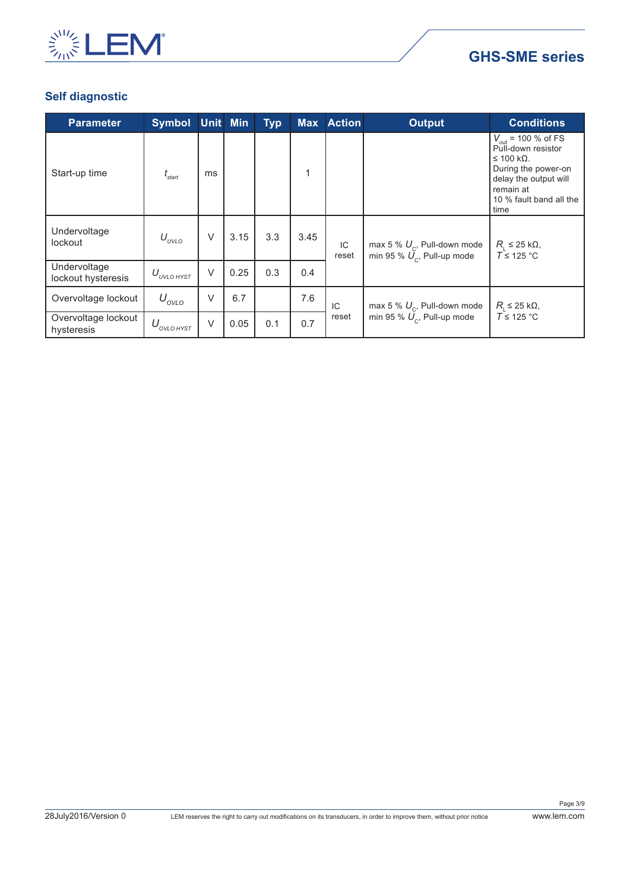

## **GHS-SME series**

## **Self diagnostic**

| <b>Parameter</b>                   | Symbol Unit Min        |        |      | <b>Typ</b> | <b>Max</b> | <b>Action</b> | <b>Output</b>                                                   | <b>Conditions</b>                                                                                                                                                   |
|------------------------------------|------------------------|--------|------|------------|------------|---------------|-----------------------------------------------------------------|---------------------------------------------------------------------------------------------------------------------------------------------------------------------|
| Start-up time                      | $\iota_{\text{start}}$ | ms     |      |            | 1          |               |                                                                 | $V_{\text{out}}$ = 100 % of FS<br>Pull-down resistor<br>$≤ 100$ kΩ.<br>During the power-on<br>delay the output will<br>remain at<br>10 % fault band all the<br>time |
| Undervoltage<br>lockout            | $U_{UVLO}$             | V      | 3.15 | 3.3        | 3.45       | IC<br>reset   | max 5 % $U_c$ , Pull-down mode<br>min 95 % $U_c$ , Pull-up mode | $R_{\rm i} \leq 25$ kΩ,<br>$T \leq 125$ °C                                                                                                                          |
| Undervoltage<br>lockout hysteresis | $U_{_{UVLO\,H YST}}$   | $\vee$ | 0.25 | 0.3        | 0.4        |               |                                                                 |                                                                                                                                                                     |
| Overvoltage lockout                | $U_{\text{OVLO}}$      | $\vee$ | 6.7  |            | 7.6        | IC            | max 5 % $U_c$ , Pull-down mode                                  | $R_{\rm L}$ ≤ 25 kΩ,                                                                                                                                                |
| Overvoltage lockout<br>hysteresis  | $U_{\text{ovLO HYST}}$ | $\vee$ | 0.05 | 0.1        | 0.7        | reset         | min 95 % $U_c$ , Pull-up mode                                   | $T \leq 125$ °C                                                                                                                                                     |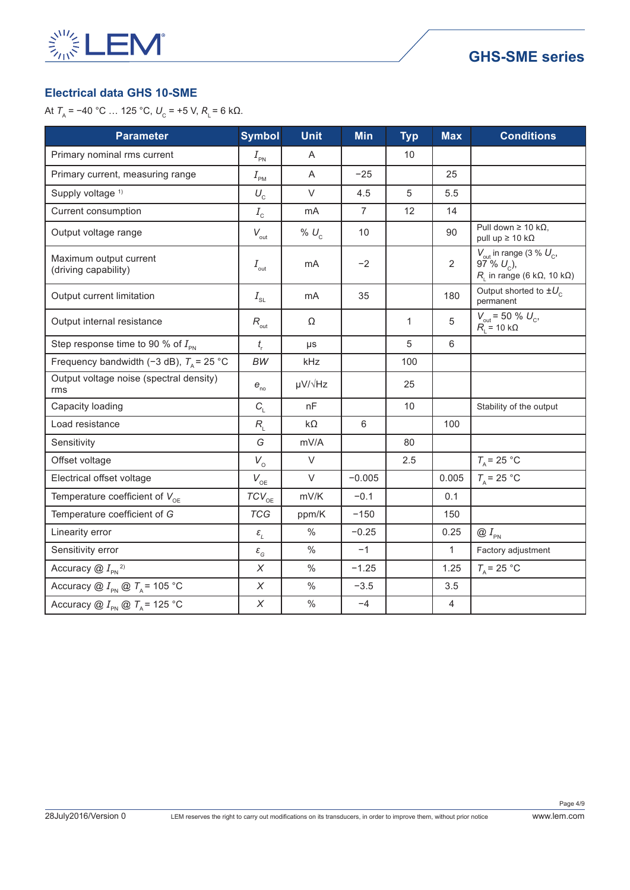

## **Electrical data GHS 10-SME**

| <b>Parameter</b>                                     | <b>Symbol</b>                    | <b>Unit</b>       | <b>Min</b>     | <b>Typ</b>   | <b>Max</b>     | <b>Conditions</b>                                                                                                    |
|------------------------------------------------------|----------------------------------|-------------------|----------------|--------------|----------------|----------------------------------------------------------------------------------------------------------------------|
| Primary nominal rms current                          | $I_{\rm PN}$                     | A                 |                | 10           |                |                                                                                                                      |
| Primary current, measuring range                     | $I_{\scriptscriptstyle{\sf PM}}$ | A                 | $-25$          |              | 25             |                                                                                                                      |
| Supply voltage <sup>1)</sup>                         | $U_{\rm c}$                      | $\vee$            | 4.5            | 5            | 5.5            |                                                                                                                      |
| Current consumption                                  | $I_{\rm c}$                      | mA                | $\overline{7}$ | 12           | 14             |                                                                                                                      |
| Output voltage range                                 | $V_{\rm out}$                    | % $U_c$           | 10             |              | 90             | Pull down $\geq 10$ k $\Omega$ ,<br>pull up $\geq 10 \text{ k}\Omega$                                                |
| Maximum output current<br>(driving capability)       | $I_{\rm out}$                    | mA                | $-2$           |              | $\overline{2}$ | $V_{\text{out}}$ in range (3 % $U_{\text{c}}$ ,<br>$97\% U_{c}$ ),<br>$R_i$ in range (6 k $\Omega$ , 10 k $\Omega$ ) |
| Output current limitation                            | $I_{\scriptscriptstyle\rm SL}$   | m <sub>A</sub>    | 35             |              | 180            | Output shorted to $\pm U_c$<br>permanent                                                                             |
| Output internal resistance                           | $R_{\text{out}}$                 | Ω                 |                | $\mathbf{1}$ | 5              | $V_{\text{out}}$ = 50 % $U_{\text{c}}$ ,<br>$R_{\text{L}}$ = 10 kΩ                                                   |
| Step response time to 90 % of $I_{\text{PN}}$        | $t_{\rm r}$                      | $\mu s$           |                | 5            | 6              |                                                                                                                      |
| Frequency bandwidth (-3 dB), $T_A$ = 25 °C           | BW                               | kHz               |                | 100          |                |                                                                                                                      |
| Output voltage noise (spectral density)<br>rms       | $e_{\scriptscriptstyle \sf no}$  | $\mu V/\sqrt{Hz}$ |                | 25           |                |                                                                                                                      |
| Capacity loading                                     | $C_{\rm L}$                      | nF                |                | 10           |                | Stability of the output                                                                                              |
| Load resistance                                      | $R_{\rm i}$                      | $k\Omega$         | $\,6\,$        |              | 100            |                                                                                                                      |
| Sensitivity                                          | G                                | mV/A              |                | 80           |                |                                                                                                                      |
| Offset voltage                                       | $V_{\rm o}$                      | $\vee$            |                | 2.5          |                | $T_{\rm A}$ = 25 °C                                                                                                  |
| Electrical offset voltage                            | $V_{\rm OE}$                     | $\vee$            | $-0.005$       |              | 0.005          | $T_{\rm A}$ = 25 °C                                                                                                  |
| Temperature coefficient of $V_{\text{OE}}$           | $TCV_{OE}$                       | mV/K              | $-0.1$         |              | 0.1            |                                                                                                                      |
| Temperature coefficient of G                         | <b>TCG</b>                       | ppm/K             | $-150$         |              | 150            |                                                                                                                      |
| Linearity error                                      | $\varepsilon_{_{L}}$             | $\%$              | $-0.25$        |              | 0.25           | $\bigotimes I_{\scriptscriptstyle{\sf PN}}$                                                                          |
| Sensitivity error                                    | $\varepsilon_{_{G}}$             | $\%$              | $-1$           |              | $\mathbf{1}$   | Factory adjustment                                                                                                   |
| Accuracy $@I_{\scriptscriptstyle{\rm PN}}^2$         | $\boldsymbol{X}$                 | $\frac{0}{0}$     | $-1.25$        |              | 1.25           | $T_{\rm A}$ = 25 °C                                                                                                  |
| Accuracy @ $I_{\text{PN}}$ @ $T_A$ = 105 °C          | $\chi$                           | $\%$              | $-3.5$         |              | 3.5            |                                                                                                                      |
| Accuracy @ $I_{\text{PN}}$ @ $T_{\text{A}}$ = 125 °C | $\chi$                           | $\%$              | $-4$           |              | 4              |                                                                                                                      |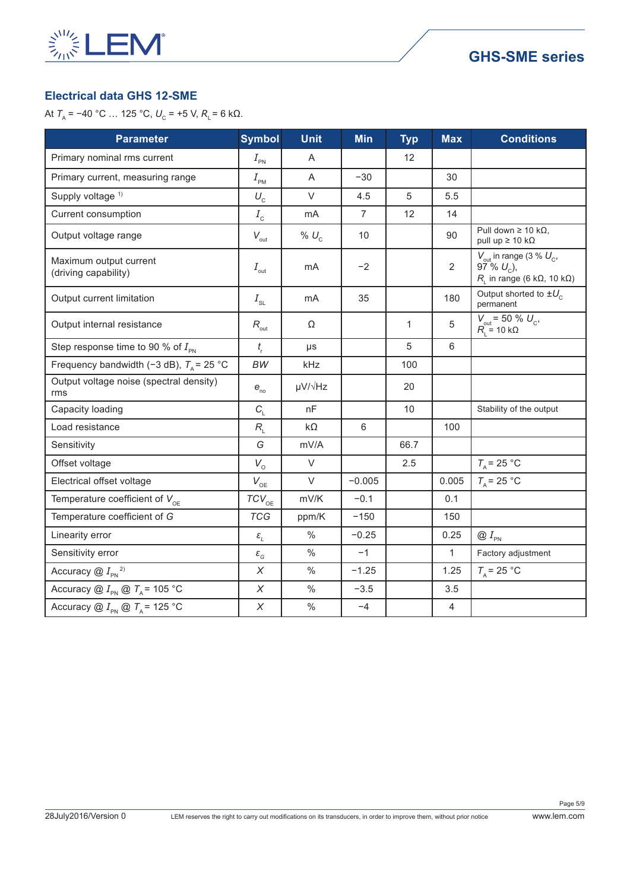

## **Electrical data GHS 12-SME**

| <b>Parameter</b>                                     | <b>Symbol</b>                    | <b>Unit</b>     | <b>Min</b>     | <b>Typ</b>        | <b>Max</b>     | <b>Conditions</b>                                                                                                              |
|------------------------------------------------------|----------------------------------|-----------------|----------------|-------------------|----------------|--------------------------------------------------------------------------------------------------------------------------------|
| Primary nominal rms current                          | $I_{\text{PN}}$                  | A               |                | $12 \overline{ }$ |                |                                                                                                                                |
| Primary current, measuring range                     | $I_{\scriptscriptstyle{\sf PM}}$ | A               | $-30$          |                   | 30             |                                                                                                                                |
| Supply voltage <sup>1)</sup>                         | $U_{\rm c}$                      | $\vee$          | 4.5            | 5                 | 5.5            |                                                                                                                                |
| Current consumption                                  | $I_{\rm c}$                      | mA              | $\overline{7}$ | 12                | 14             |                                                                                                                                |
| Output voltage range                                 | $V_{\text{out}}$                 | % $U_c$         | 10             |                   | 90             | Pull down $\geq 10$ k $\Omega$ ,<br>pull up $\geq 10$ k $\Omega$                                                               |
| Maximum output current<br>(driving capability)       | $I_{\text{out}}$                 | mA              | $-2$           |                   | $\overline{2}$ | $V_{\text{out}}$ in range (3 % $U_{\text{c}}$ ,<br>$97^{\circ}$ % $U_c$ ),<br>$R_{L}$ in range (6 k $\Omega$ , 10 k $\Omega$ ) |
| Output current limitation                            | $I_{\scriptscriptstyle\rm SL}$   | m <sub>A</sub>  | 35             |                   | 180            | Output shorted to $\pm U_c$<br>permanent                                                                                       |
| Output internal resistance                           | $R_{\text{out}}$                 | Ω               |                | $\mathbf{1}$      | 5              | $V_{\text{out}}$ = 50 % $U_{\text{c}}$ ,<br>$R_{L} = 10 \text{ k}\Omega$                                                       |
| Step response time to 90 % of $I_{\text{PN}}$        | $t_{\rm r}$                      | μs              |                | 5                 | 6              |                                                                                                                                |
| Frequency bandwidth (-3 dB), $T_A$ = 25 °C           | <b>BW</b>                        | kHz             |                | 100               |                |                                                                                                                                |
| Output voltage noise (spectral density)<br>rms       | $e_{\scriptscriptstyle{no}}$     | µV/ $\sqrt{Hz}$ |                | 20                |                |                                                                                                                                |
| Capacity loading                                     | $C_{\rm L}$                      | nF              |                | 10                |                | Stability of the output                                                                                                        |
| Load resistance                                      | $R_{L}$                          | $k\Omega$       | 6              |                   | 100            |                                                                                                                                |
| Sensitivity                                          | G                                | mV/A            |                | 66.7              |                |                                                                                                                                |
| Offset voltage                                       | $V_{\circ}$                      | $\vee$          |                | 2.5               |                | $T_{\rm A}$ = 25 °C                                                                                                            |
| Electrical offset voltage                            | $V_{\rm OE}$                     | $\vee$          | $-0.005$       |                   | 0.005          | $T_{\rm A}$ = 25 °C                                                                                                            |
| Temperature coefficient of $V_{\text{OE}}$           | $TCV_{OE}$                       | mV/K            | $-0.1$         |                   | 0.1            |                                                                                                                                |
| Temperature coefficient of G                         | <b>TCG</b>                       | ppm/K           | $-150$         |                   | 150            |                                                                                                                                |
| Linearity error                                      | $\varepsilon_{_L}$               | $\frac{0}{0}$   | $-0.25$        |                   | 0.25           | $\oslash I_{\textrm{\tiny PN}}$                                                                                                |
| Sensitivity error                                    | $\varepsilon_{_{G}}$             | $\%$            | $-1$           |                   | $\mathbf{1}$   | Factory adjustment                                                                                                             |
| Accuracy $@I_{\text{PN}}^2$                          | $\chi$                           | $\%$            | $-1.25$        |                   | 1.25           | $T_{\rm A}$ = 25 °C                                                                                                            |
| Accuracy @ $I_{\text{PN}}$ @ $T_{\text{A}}$ = 105 °C | $\chi$                           | $\%$            | $-3.5$         |                   | 3.5            |                                                                                                                                |
| Accuracy @ $I_{\text{PN}}$ @ $T_{\text{A}}$ = 125 °C | $\chi$                           | $\%$            | $-4$           |                   | $\overline{4}$ |                                                                                                                                |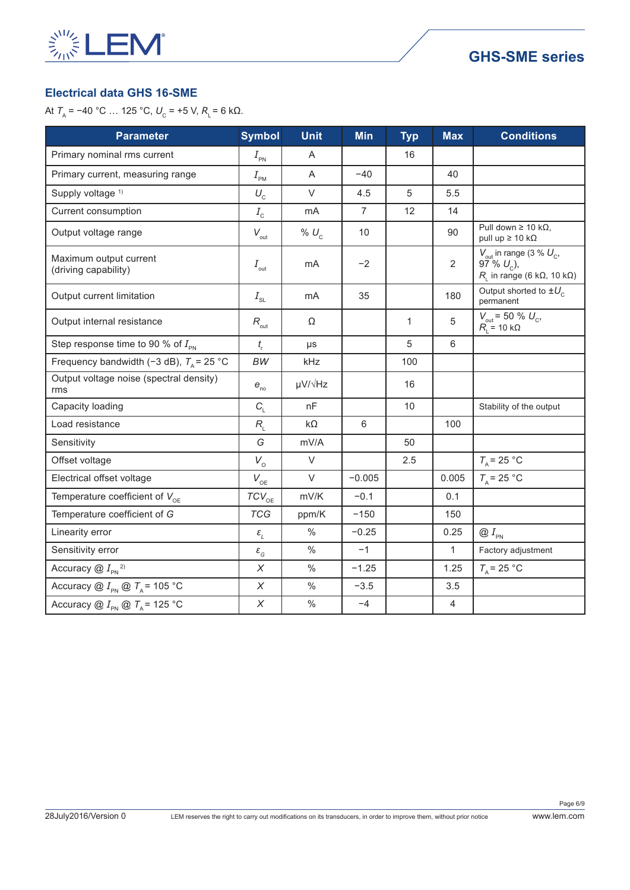

## **Electrical data GHS 16-SME**

| <b>Parameter</b>                                     | <b>Symbol</b>                         | <b>Unit</b>       | <b>Min</b>     | <b>Typ</b>   | <b>Max</b>     | <b>Conditions</b>                                                                                                      |
|------------------------------------------------------|---------------------------------------|-------------------|----------------|--------------|----------------|------------------------------------------------------------------------------------------------------------------------|
| Primary nominal rms current                          | $I_{\rm PN}$                          | A                 |                | 16           |                |                                                                                                                        |
| Primary current, measuring range                     | $I_{\text{PM}}$                       | A                 | $-40$          |              | 40             |                                                                                                                        |
| Supply voltage <sup>1)</sup>                         | $U_{\rm c}$                           | $\vee$            | 4.5            | 5            | 5.5            |                                                                                                                        |
| Current consumption                                  | $I_{\rm\scriptscriptstyle C}$         | mA                | $\overline{7}$ | 12           | 14             |                                                                                                                        |
| Output voltage range                                 | $V_{\text{out}}$                      | % $U_c$           | 10             |              | 90             | Pull down $\geq 10$ k $\Omega$ ,<br>pull up $\geq 10$ k $\Omega$                                                       |
| Maximum output current<br>(driving capability)       | $I_{\text{out}}$                      | mA                | $-2$           |              | $\overline{2}$ | $V_{\text{out}}$ in range (3 % $U_{\text{c}}$ ,<br>$97\% U_{c}$ ),<br>$R_{L}$ in range (6 k $\Omega$ , 10 k $\Omega$ ) |
| Output current limitation                            | $I_{\scriptscriptstyle\rm SL}$        | mA                | 35             |              | 180            | Output shorted to $\pm U_c$<br>permanent                                                                               |
| Output internal resistance                           | $R_{\text{out}}$                      | Ω                 |                | $\mathbf{1}$ | 5              | $\begin{array}{l} V_{\text{out}} = 50 \% U_{\text{c}},\\ R_{\text{L}} = 10 \text{ k}\Omega \end{array}$                |
| Step response time to 90 % of $I_{\text{PN}}$        | $t_{\rm r}$                           | $\mu s$           |                | 5            | $6\phantom{1}$ |                                                                                                                        |
| Frequency bandwidth (-3 dB), $T_A$ = 25 °C           | <b>BW</b>                             | kHz               |                | 100          |                |                                                                                                                        |
| Output voltage noise (spectral density)<br>rms       | $e_{\rm no}$                          | $\mu V/\sqrt{Hz}$ |                | 16           |                |                                                                                                                        |
| Capacity loading                                     | $C_{\text{L}}$                        | nF                |                | 10           |                | Stability of the output                                                                                                |
| Load resistance                                      | $R_{\rm i}$                           | $k\Omega$         | 6              |              | 100            |                                                                                                                        |
| Sensitivity                                          | G                                     | mV/A              |                | 50           |                |                                                                                                                        |
| Offset voltage                                       | $V_{\circ}$                           | $\vee$            |                | 2.5          |                | $T_{\rm A}$ = 25 °C                                                                                                    |
| Electrical offset voltage                            | $V_{\rm OE}$                          | $\vee$            | $-0.005$       |              | 0.005          | $T_A$ = 25 °C                                                                                                          |
| Temperature coefficient of $V_{\text{OE}}$           | $TCV_{OE}$                            | mV/K              | $-0.1$         |              | 0.1            |                                                                                                                        |
| Temperature coefficient of G                         | <b>TCG</b>                            | ppm/K             | $-150$         |              | 150            |                                                                                                                        |
| Linearity error                                      | $\varepsilon_{_L}$                    | $\%$              | $-0.25$        |              | 0.25           | $\bigcircled{a}$ $I_{\scriptscriptstyle{\sf PN}}$                                                                      |
| Sensitivity error                                    | $\varepsilon_{\scriptscriptstyle{G}}$ | $\%$              | $-1$           |              | $\mathbf{1}$   | Factory adjustment                                                                                                     |
| Accuracy $@I_{\scriptscriptstyle{\rm PN}}^2$         | $\boldsymbol{\mathsf{X}}$             | $\%$              | $-1.25$        |              | 1.25           | $T_{\rm A}$ = 25 °C                                                                                                    |
| Accuracy @ $I_{\text{PN}}$ @ $T_A$ = 105 °C          | $\chi$                                | $\frac{0}{0}$     | $-3.5$         |              | 3.5            |                                                                                                                        |
| Accuracy @ $I_{\text{PN}}$ @ $T_{\text{A}}$ = 125 °C | X                                     | $\%$              | $-4$           |              | $\overline{4}$ |                                                                                                                        |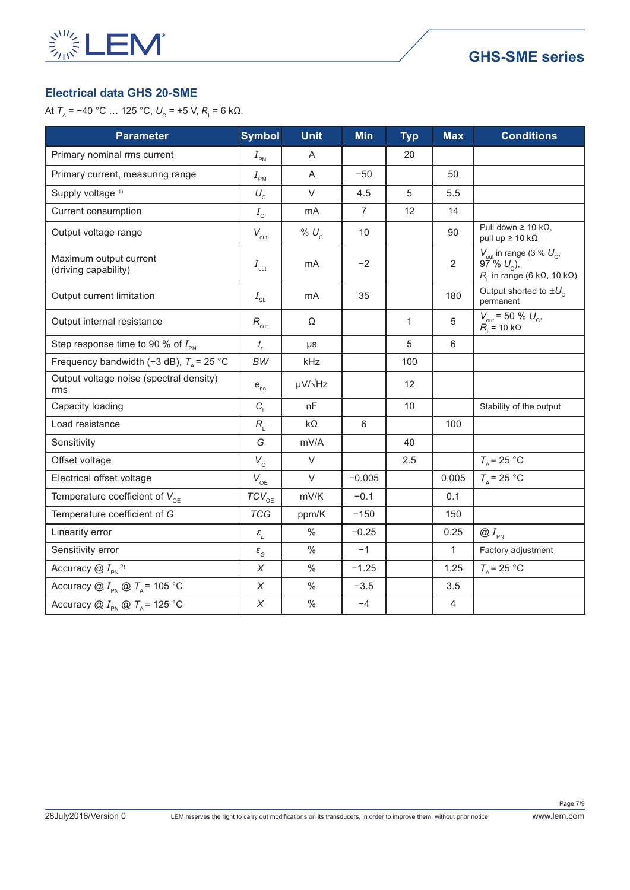

## **Electrical data GHS 20-SME**

| <b>Parameter</b>                                     | <b>Symbol</b>                         | <b>Unit</b>       | Min            | <b>Typ</b>   | <b>Max</b>     | <b>Conditions</b>                                                                                                            |
|------------------------------------------------------|---------------------------------------|-------------------|----------------|--------------|----------------|------------------------------------------------------------------------------------------------------------------------------|
| Primary nominal rms current                          | $I_{\tiny{\sf PN}}$                   | A                 |                | 20           |                |                                                                                                                              |
| Primary current, measuring range                     | $I_{\text{PM}}$                       | A                 | $-50$          |              | 50             |                                                                                                                              |
| Supply voltage <sup>1)</sup>                         | $U_{\rm c}$                           | $\vee$            | 4.5            | 5            | 5.5            |                                                                                                                              |
| Current consumption                                  | $I_{\rm\scriptscriptstyle C}$         | mA                | $\overline{7}$ | 12           | 14             |                                                                                                                              |
| Output voltage range                                 | $V_{\text{out}}$                      | % $U_c$           | 10             |              | 90             | Pull down $\geq 10$ k $\Omega$ ,<br>pull up $\geq 10$ k $\Omega$                                                             |
| Maximum output current<br>(driving capability)       | $I_{\text{out}}$                      | mA                | $-2$           |              | $\overline{2}$ | $V_{\text{out}}$ in range (3 % $U_{\text{c}}$ ,<br>$97^{\circ}$ % $U_c$ ),<br>$R_i$ in range (6 k $\Omega$ , 10 k $\Omega$ ) |
| Output current limitation                            | $I_{\scriptscriptstyle\rm SL}$        | m <sub>A</sub>    | 35             |              | 180            | Output shorted to $\pm U_c$<br>permanent                                                                                     |
| Output internal resistance                           | $R_{\mbox{\tiny out}}$                | $\Omega$          |                | $\mathbf{1}$ | 5              | $V_{\text{out}}$ = 50 % $U_{\text{c}}$ ,<br>$R_{\text{L}}$ = 10 kΩ                                                           |
| Step response time to 90 % of $I_{\text{PN}}$        | $t_{\rm r}$                           | $\mu s$           |                | 5            | 6              |                                                                                                                              |
| Frequency bandwidth (-3 dB), $T_A$ = 25 °C           | <b>BW</b>                             | kHz               |                | 100          |                |                                                                                                                              |
| Output voltage noise (spectral density)<br>rms       | $e_{\rm no}$                          | $\mu V/\sqrt{Hz}$ |                | 12           |                |                                                                                                                              |
| Capacity loading                                     | $C_{\rm L}$                           | nF                |                | 10           |                | Stability of the output                                                                                                      |
| Load resistance                                      | $R_{L}$                               | $k\Omega$         | 6              |              | 100            |                                                                                                                              |
| Sensitivity                                          | G                                     | mV/A              |                | 40           |                |                                                                                                                              |
| Offset voltage                                       | $V_{\circ}$                           | $\vee$            |                | 2.5          |                | $T_A$ = 25 °C                                                                                                                |
| Electrical offset voltage                            | $V_{\rm OE}$                          | $\vee$            | $-0.005$       |              | 0.005          | $T_{\rm A}$ = 25 °C                                                                                                          |
| Temperature coefficient of $V_{\text{OE}}$           | $TCV_{OE}$                            | mV/K              | $-0.1$         |              | 0.1            |                                                                                                                              |
| Temperature coefficient of G                         | <b>TCG</b>                            | ppm/K             | $-150$         |              | 150            |                                                                                                                              |
| Linearity error                                      | $\varepsilon_{_{L}}$                  | $\%$              | $-0.25$        |              | 0.25           | $\otimes I_{\rm PN}$                                                                                                         |
| Sensitivity error                                    | $\varepsilon_{\scriptscriptstyle{G}}$ | $\frac{0}{0}$     | $-1$           |              | $\mathbf{1}$   | Factory adjustment                                                                                                           |
| Accuracy $@I_{\scriptscriptstyle{\sf PN}}^2$         | $\chi$                                | $\frac{0}{0}$     | $-1.25$        |              | 1.25           | $T_{\rm A}$ = 25 °C                                                                                                          |
| Accuracy @ $I_{\text{PN}}$ @ $T_A$ = 105 °C          | $\chi$                                | $\frac{0}{0}$     | $-3.5$         |              | 3.5            |                                                                                                                              |
| Accuracy @ $I_{\text{PN}}$ @ $T_{\text{A}}$ = 125 °C | X                                     | $\%$              | $-4$           |              | 4              |                                                                                                                              |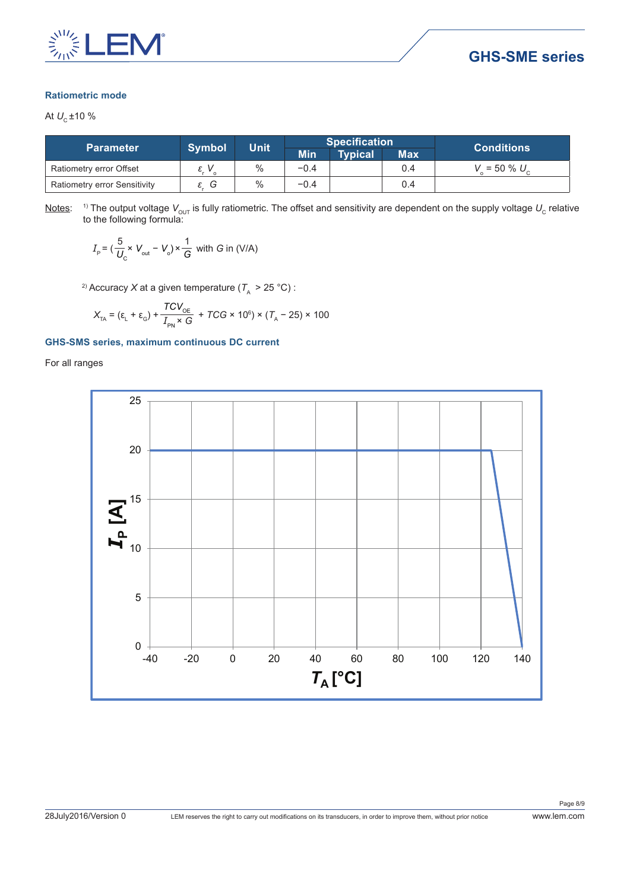

#### **Ratiometric mode**

At  $U_c \pm 10 \%$ 

|                              | <b>Symbol</b> | <b>Unit</b> |            | <b>Specification</b> |            | <b>Conditions</b>     |
|------------------------------|---------------|-------------|------------|----------------------|------------|-----------------------|
| <b>Parameter</b>             |               |             | <b>Min</b> | Typical              | <b>Max</b> |                       |
| Ratiometry error Offset      | $\Omega$      | $\%$        | $-0.4$     |                      | 0.4        | $V = 50 \% U_{\odot}$ |
| Ratiometry error Sensitivity | G             | $\%$        | $-0.4$     |                      | 0.4        |                       |

<u>Notes</u>:  $^{-1}$ ) The output voltage  $V_{\rm out}$  is fully ratiometric. The offset and sensitivity are dependent on the supply voltage  $U_{\rm c}$  relative to the following formula:

$$
I_{\rm p} = (\frac{5}{U_{\rm c}} \times V_{\rm out} - V_{\rm o}) \times \frac{1}{G} \text{ with } G \text{ in (V/A)}
$$

<sup>2)</sup> Accuracy *X* at a given temperature ( $T_A > 25$  °C) :

$$
X_{\text{TA}} = (\varepsilon_{\text{L}} + \varepsilon_{\text{G}}) + \frac{TCV_{\text{OE}}}{I_{\text{PN}} \times G} + TCG \times 10^6) \times (T_{\text{A}} - 25) \times 100
$$

#### **GHS-SMS series, maximum continuous DC current**

For all ranges